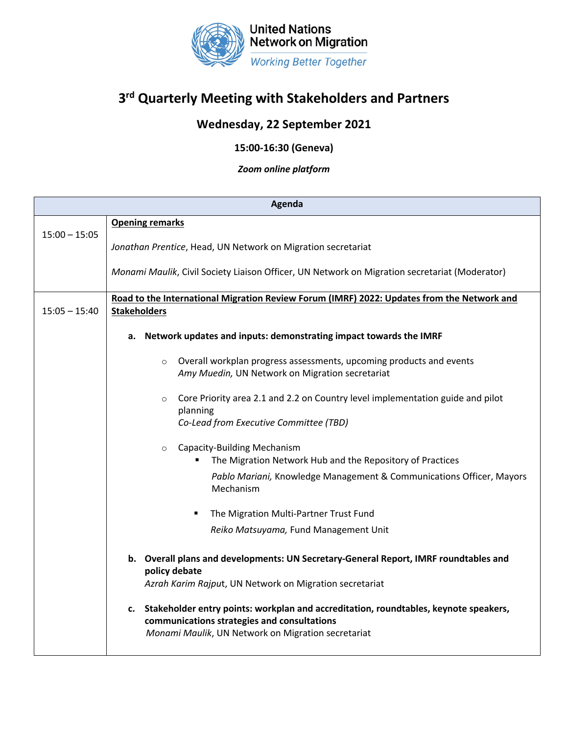

## **3rd Quarterly Meeting with Stakeholders and Partners**

## **Wednesday, 22 September 2021**

**15:00-16:30 (Geneva)**

*Zoom online platform*

| Agenda          |                                                                                                                                                                                                 |
|-----------------|-------------------------------------------------------------------------------------------------------------------------------------------------------------------------------------------------|
| $15:00 - 15:05$ | <b>Opening remarks</b>                                                                                                                                                                          |
|                 | Jonathan Prentice, Head, UN Network on Migration secretariat                                                                                                                                    |
|                 | Monami Maulik, Civil Society Liaison Officer, UN Network on Migration secretariat (Moderator)                                                                                                   |
| $15:05 - 15:40$ | Road to the International Migration Review Forum (IMRF) 2022: Updates from the Network and<br><b>Stakeholders</b>                                                                               |
|                 | Network updates and inputs: demonstrating impact towards the IMRF<br>а.                                                                                                                         |
|                 | Overall workplan progress assessments, upcoming products and events<br>$\circ$<br>Amy Muedin, UN Network on Migration secretariat                                                               |
|                 | Core Priority area 2.1 and 2.2 on Country level implementation guide and pilot<br>$\circ$<br>planning<br>Co-Lead from Executive Committee (TBD)                                                 |
|                 | Capacity-Building Mechanism<br>$\circ$<br>The Migration Network Hub and the Repository of Practices<br>Pablo Mariani, Knowledge Management & Communications Officer, Mayors<br>Mechanism        |
|                 | The Migration Multi-Partner Trust Fund<br>Reiko Matsuyama, Fund Management Unit                                                                                                                 |
|                 | b. Overall plans and developments: UN Secretary-General Report, IMRF roundtables and<br>policy debate<br>Azrah Karim Rajput, UN Network on Migration secretariat                                |
|                 | Stakeholder entry points: workplan and accreditation, roundtables, keynote speakers,<br>c.<br>communications strategies and consultations<br>Monami Maulik, UN Network on Migration secretariat |